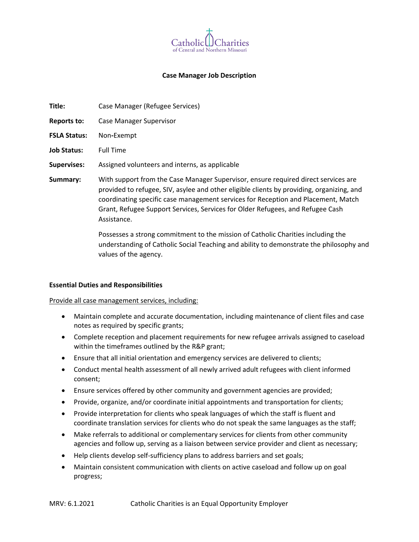

## **Case Manager Job Description**

| Title:              | Case Manager (Refugee Services)                                                                                                                                                                                                                                                                                                                                       |  |  |
|---------------------|-----------------------------------------------------------------------------------------------------------------------------------------------------------------------------------------------------------------------------------------------------------------------------------------------------------------------------------------------------------------------|--|--|
| Reports to:         | Case Manager Supervisor                                                                                                                                                                                                                                                                                                                                               |  |  |
| <b>FSLA Status:</b> | Non-Exempt                                                                                                                                                                                                                                                                                                                                                            |  |  |
| <b>Job Status:</b>  | <b>Full Time</b>                                                                                                                                                                                                                                                                                                                                                      |  |  |
| <b>Supervises:</b>  | Assigned volunteers and interns, as applicable                                                                                                                                                                                                                                                                                                                        |  |  |
| Summary:            | With support from the Case Manager Supervisor, ensure required direct services are<br>provided to refugee, SIV, asylee and other eligible clients by providing, organizing, and<br>coordinating specific case management services for Reception and Placement, Match<br>Grant, Refugee Support Services, Services for Older Refugees, and Refugee Cash<br>Assistance. |  |  |
|                     | Possesses a strong commitment to the mission of Catholic Charities including the                                                                                                                                                                                                                                                                                      |  |  |

understanding of Catholic Social Teaching and ability to demonstrate the philosophy and values of the agency.

### **Essential Duties and Responsibilities**

#### Provide all case management services, including:

- Maintain complete and accurate documentation, including maintenance of client files and case notes as required by specific grants;
- Complete reception and placement requirements for new refugee arrivals assigned to caseload within the timeframes outlined by the R&P grant;
- Ensure that all initial orientation and emergency services are delivered to clients;
- Conduct mental health assessment of all newly arrived adult refugees with client informed consent;
- Ensure services offered by other community and government agencies are provided;
- Provide, organize, and/or coordinate initial appointments and transportation for clients;
- Provide interpretation for clients who speak languages of which the staff is fluent and coordinate translation services for clients who do not speak the same languages as the staff;
- Make referrals to additional or complementary services for clients from other community agencies and follow up, serving as a liaison between service provider and client as necessary;
- Help clients develop self-sufficiency plans to address barriers and set goals;
- Maintain consistent communication with clients on active caseload and follow up on goal progress;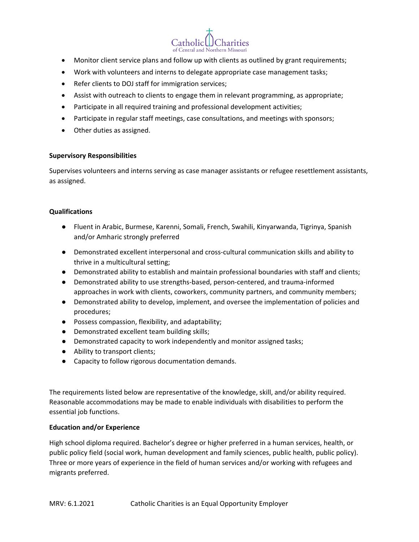Catholicl Charities

- Monitor client service plans and follow up with clients as outlined by grant requirements;
- Work with volunteers and interns to delegate appropriate case management tasks;
- Refer clients to DOJ staff for immigration services;
- Assist with outreach to clients to engage them in relevant programming, as appropriate;
- Participate in all required training and professional development activities;
- Participate in regular staff meetings, case consultations, and meetings with sponsors;
- Other duties as assigned.

## **Supervisory Responsibilities**

Supervises volunteers and interns serving as case manager assistants or refugee resettlement assistants, as assigned.

# **Qualifications**

- Fluent in Arabic, Burmese, Karenni, Somali, French, Swahili, Kinyarwanda, Tigrinya, Spanish and/or Amharic strongly preferred
- Demonstrated excellent interpersonal and cross-cultural communication skills and ability to thrive in a multicultural setting;
- Demonstrated ability to establish and maintain professional boundaries with staff and clients;
- Demonstrated ability to use strengths-based, person-centered, and trauma-informed approaches in work with clients, coworkers, community partners, and community members;
- Demonstrated ability to develop, implement, and oversee the implementation of policies and procedures;
- Possess compassion, flexibility, and adaptability;
- Demonstrated excellent team building skills;
- Demonstrated capacity to work independently and monitor assigned tasks;
- Ability to transport clients;
- Capacity to follow rigorous documentation demands.

The requirements listed below are representative of the knowledge, skill, and/or ability required. Reasonable accommodations may be made to enable individuals with disabilities to perform the essential job functions.

# **Education and/or Experience**

High school diploma required. Bachelor's degree or higher preferred in a human services, health, or public policy field (social work, human development and family sciences, public health, public policy). Three or more years of experience in the field of human services and/or working with refugees and migrants preferred.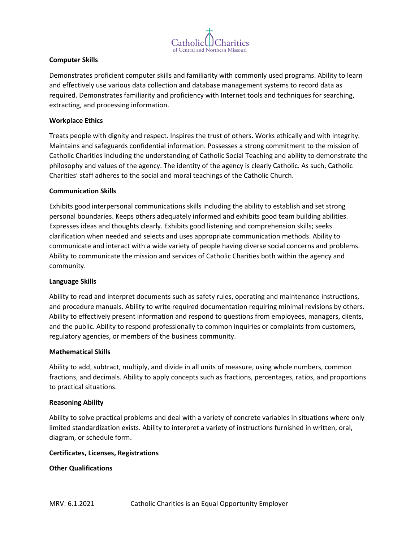

# **Computer Skills**

Demonstrates proficient computer skills and familiarity with commonly used programs. Ability to learn and effectively use various data collection and database management systems to record data as required. Demonstrates familiarity and proficiency with Internet tools and techniques for searching, extracting, and processing information.

# **Workplace Ethics**

Treats people with dignity and respect. Inspires the trust of others. Works ethically and with integrity. Maintains and safeguards confidential information. Possesses a strong commitment to the mission of Catholic Charities including the understanding of Catholic Social Teaching and ability to demonstrate the philosophy and values of the agency. The identity of the agency is clearly Catholic. As such, Catholic Charities' staff adheres to the social and moral teachings of the Catholic Church.

## **Communication Skills**

Exhibits good interpersonal communications skills including the ability to establish and set strong personal boundaries. Keeps others adequately informed and exhibits good team building abilities. Expresses ideas and thoughts clearly. Exhibits good listening and comprehension skills; seeks clarification when needed and selects and uses appropriate communication methods. Ability to communicate and interact with a wide variety of people having diverse social concerns and problems. Ability to communicate the mission and services of Catholic Charities both within the agency and community.

### **Language Skills**

Ability to read and interpret documents such as safety rules, operating and maintenance instructions, and procedure manuals. Ability to write required documentation requiring minimal revisions by others. Ability to effectively present information and respond to questions from employees, managers, clients, and the public. Ability to respond professionally to common inquiries or complaints from customers, regulatory agencies, or members of the business community.

### **Mathematical Skills**

Ability to add, subtract, multiply, and divide in all units of measure, using whole numbers, common fractions, and decimals. Ability to apply concepts such as fractions, percentages, ratios, and proportions to practical situations.

### **Reasoning Ability**

Ability to solve practical problems and deal with a variety of concrete variables in situations where only limited standardization exists. Ability to interpret a variety of instructions furnished in written, oral, diagram, or schedule form.

### **Certificates, Licenses, Registrations**

**Other Qualifications**